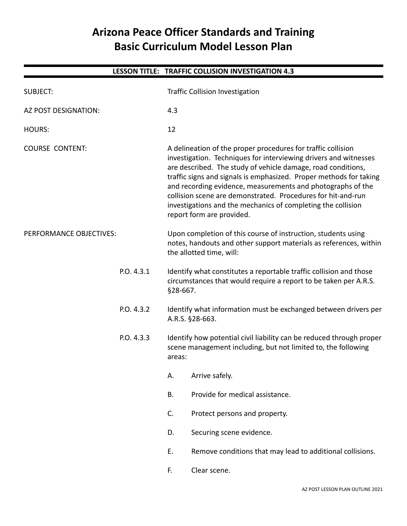# **Arizona Peace Officer Standards and Training Basic Curriculum Model Lesson Plan**

|                             |            |                                                                                                                                                 | LESSON TITLE: TRAFFIC COLLISION INVESTIGATION 4.3                                                                                                                                                                                                                                                                                                                                                                                                                                                  |
|-----------------------------|------------|-------------------------------------------------------------------------------------------------------------------------------------------------|----------------------------------------------------------------------------------------------------------------------------------------------------------------------------------------------------------------------------------------------------------------------------------------------------------------------------------------------------------------------------------------------------------------------------------------------------------------------------------------------------|
| <b>SUBJECT:</b>             |            |                                                                                                                                                 | <b>Traffic Collision Investigation</b>                                                                                                                                                                                                                                                                                                                                                                                                                                                             |
| <b>AZ POST DESIGNATION:</b> |            | 4.3                                                                                                                                             |                                                                                                                                                                                                                                                                                                                                                                                                                                                                                                    |
| <b>HOURS:</b>               |            | 12                                                                                                                                              |                                                                                                                                                                                                                                                                                                                                                                                                                                                                                                    |
| <b>COURSE CONTENT:</b>      |            |                                                                                                                                                 | A delineation of the proper procedures for traffic collision<br>investigation. Techniques for interviewing drivers and witnesses<br>are described. The study of vehicle damage, road conditions,<br>traffic signs and signals is emphasized. Proper methods for taking<br>and recording evidence, measurements and photographs of the<br>collision scene are demonstrated. Procedures for hit-and-run<br>investigations and the mechanics of completing the collision<br>report form are provided. |
| PERFORMANCE OBJECTIVES:     |            |                                                                                                                                                 | Upon completion of this course of instruction, students using<br>notes, handouts and other support materials as references, within<br>the allotted time, will:                                                                                                                                                                                                                                                                                                                                     |
|                             | P.O. 4.3.1 | §28-667.                                                                                                                                        | Identify what constitutes a reportable traffic collision and those<br>circumstances that would require a report to be taken per A.R.S.                                                                                                                                                                                                                                                                                                                                                             |
|                             | P.O. 4.3.2 |                                                                                                                                                 | Identify what information must be exchanged between drivers per<br>A.R.S. §28-663.                                                                                                                                                                                                                                                                                                                                                                                                                 |
| P.O. 4.3.3                  |            | Identify how potential civil liability can be reduced through proper<br>scene management including, but not limited to, the following<br>areas: |                                                                                                                                                                                                                                                                                                                                                                                                                                                                                                    |
|                             |            | Α.                                                                                                                                              | Arrive safely.                                                                                                                                                                                                                                                                                                                                                                                                                                                                                     |
|                             |            | <b>B.</b>                                                                                                                                       | Provide for medical assistance.                                                                                                                                                                                                                                                                                                                                                                                                                                                                    |
|                             |            | C.                                                                                                                                              | Protect persons and property.                                                                                                                                                                                                                                                                                                                                                                                                                                                                      |
|                             |            | D.                                                                                                                                              | Securing scene evidence.                                                                                                                                                                                                                                                                                                                                                                                                                                                                           |
|                             |            | Ε.                                                                                                                                              | Remove conditions that may lead to additional collisions.                                                                                                                                                                                                                                                                                                                                                                                                                                          |
|                             |            | F.                                                                                                                                              | Clear scene.                                                                                                                                                                                                                                                                                                                                                                                                                                                                                       |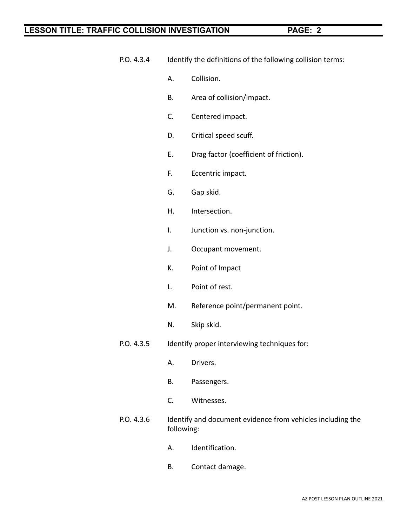- P.O. 4.3.4 Identify the definitions of the following collision terms:
	- A. Collision.
	- B. Area of collision/impact.
	- C. Centered impact.
	- D. Critical speed scuff.
	- E. Drag factor (coefficient of friction).
	- F. Eccentric impact.
	- G. Gap skid.
	- H. Intersection.
	- I. Junction vs. non-junction.
	- J. Occupant movement.
	- K. Point of Impact
	- L. Point of rest.
	- M. Reference point/permanent point.
	- N. Skip skid.
- P.O. 4.3.5 Identify proper interviewing techniques for:
	- A. Drivers.
	- B. Passengers.
	- C. Witnesses.
- P.O. 4.3.6 Identify and document evidence from vehicles including the following:
	- A. Identification.
	- B. Contact damage.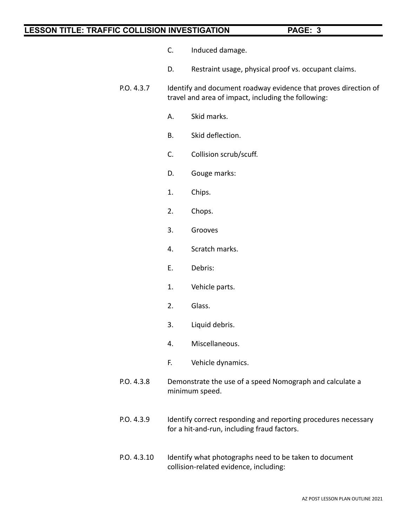- C. Induced damage.
- D. Restraint usage, physical proof vs. occupant claims.
- P.O. 4.3.7 Identify and document roadway evidence that proves direction of travel and area of impact, including the following:
	- A. Skid marks.
	- B. Skid deflection.
	- C. Collision scrub/scuff.
	- D. Gouge marks:
	- 1. Chips.
	- 2. Chops.
	- 3. Grooves
	- 4. Scratch marks.
	- E. Debris:
	- 1. Vehicle parts.
	- 2. Glass.
	- 3. Liquid debris.
	- 4. Miscellaneous.
	- F. Vehicle dynamics.
- P.O. 4.3.8 Demonstrate the use of a speed Nomograph and calculate a minimum speed.
- P.O. 4.3.9 Identify correct responding and reporting procedures necessary for a hit-and-run, including fraud factors.
- P.O. 4.3.10 Identify what photographs need to be taken to document collision-related evidence, including: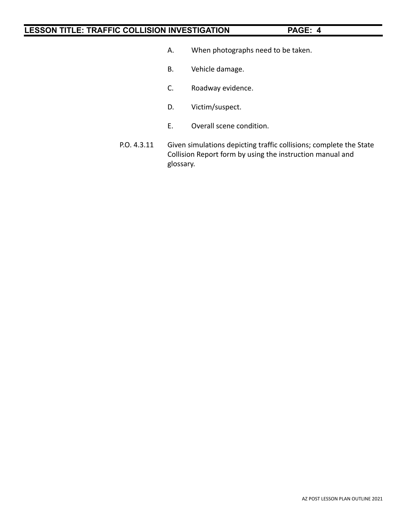- A. When photographs need to be taken.
- B. Vehicle damage.
- C. Roadway evidence.
- D. Victim/suspect.
- E. Overall scene condition.
- P.O. 4.3.11 Given simulations depicting traffic collisions; complete the State Collision Report form by using the instruction manual and glossary.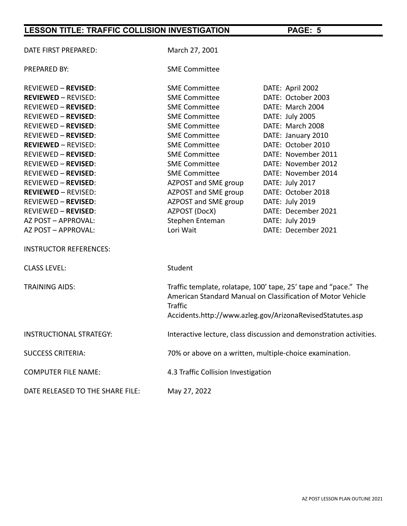| DATE FIRST PREPARED:             | March 27, 2001                                                      |                                                                                                                                                                                             |  |  |
|----------------------------------|---------------------------------------------------------------------|---------------------------------------------------------------------------------------------------------------------------------------------------------------------------------------------|--|--|
| <b>PREPARED BY:</b>              | <b>SME Committee</b>                                                |                                                                                                                                                                                             |  |  |
| <b>REVIEWED - REVISED:</b>       | <b>SME Committee</b>                                                | DATE: April 2002                                                                                                                                                                            |  |  |
| <b>REVIEWED - REVISED:</b>       | <b>SME Committee</b>                                                | DATE: October 2003                                                                                                                                                                          |  |  |
| <b>REVIEWED - REVISED:</b>       | <b>SME Committee</b>                                                | DATE: March 2004                                                                                                                                                                            |  |  |
| <b>REVIEWED - REVISED:</b>       | <b>SME Committee</b>                                                | DATE: July 2005                                                                                                                                                                             |  |  |
| <b>REVIEWED - REVISED:</b>       | <b>SME Committee</b>                                                | DATE: March 2008                                                                                                                                                                            |  |  |
| <b>REVIEWED - REVISED:</b>       | <b>SME Committee</b>                                                | DATE: January 2010                                                                                                                                                                          |  |  |
| <b>REVIEWED - REVISED:</b>       | <b>SME Committee</b>                                                | DATE: October 2010                                                                                                                                                                          |  |  |
| <b>REVIEWED - REVISED:</b>       | <b>SME Committee</b>                                                | DATE: November 2011                                                                                                                                                                         |  |  |
| <b>REVIEWED - REVISED:</b>       | <b>SME Committee</b>                                                | DATE: November 2012                                                                                                                                                                         |  |  |
| <b>REVIEWED - REVISED:</b>       | <b>SME Committee</b>                                                | DATE: November 2014                                                                                                                                                                         |  |  |
| <b>REVIEWED - REVISED:</b>       | AZPOST and SME group                                                | DATE: July 2017                                                                                                                                                                             |  |  |
| <b>REVIEWED - REVISED:</b>       | AZPOST and SME group                                                | DATE: October 2018                                                                                                                                                                          |  |  |
| <b>REVIEWED - REVISED:</b>       | AZPOST and SME group                                                | DATE: July 2019                                                                                                                                                                             |  |  |
| <b>REVIEWED - REVISED:</b>       | AZPOST (DocX)                                                       | DATE: December 2021                                                                                                                                                                         |  |  |
| AZ POST - APPROVAL:              | Stephen Enteman                                                     | DATE: July 2019                                                                                                                                                                             |  |  |
| AZ POST - APPROVAL:              | Lori Wait                                                           | DATE: December 2021                                                                                                                                                                         |  |  |
| <b>INSTRUCTOR REFERENCES:</b>    |                                                                     |                                                                                                                                                                                             |  |  |
| <b>CLASS LEVEL:</b>              | Student                                                             |                                                                                                                                                                                             |  |  |
| <b>TRAINING AIDS:</b>            | <b>Traffic</b>                                                      | Traffic template, rolatape, 100' tape, 25' tape and "pace." The<br>American Standard Manual on Classification of Motor Vehicle<br>Accidents.http://www.azleg.gov/ArizonaRevisedStatutes.asp |  |  |
| <b>INSTRUCTIONAL STRATEGY:</b>   | Interactive lecture, class discussion and demonstration activities. |                                                                                                                                                                                             |  |  |
| <b>SUCCESS CRITERIA:</b>         |                                                                     | 70% or above on a written, multiple-choice examination.                                                                                                                                     |  |  |
| <b>COMPUTER FILE NAME:</b>       | 4.3 Traffic Collision Investigation                                 |                                                                                                                                                                                             |  |  |
| DATE RELEASED TO THE SHARE FILE: | May 27, 2022                                                        |                                                                                                                                                                                             |  |  |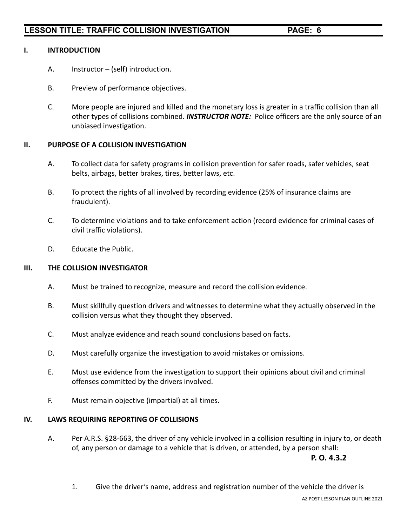#### **I. INTRODUCTION**

- A. Instructor (self) introduction.
- B. Preview of performance objectives.
- C. More people are injured and killed and the monetary loss is greater in a traffic collision than all other types of collisions combined. *INSTRUCTOR NOTE:* Police officers are the only source of an unbiased investigation.

#### **II. PURPOSE OF A COLLISION INVESTIGATION**

- A. To collect data for safety programs in collision prevention for safer roads, safer vehicles, seat belts, airbags, better brakes, tires, better laws, etc.
- B. To protect the rights of all involved by recording evidence (25% of insurance claims are fraudulent).
- C. To determine violations and to take enforcement action (record evidence for criminal cases of civil traffic violations).
- D. Educate the Public.

#### **III. THE COLLISION INVESTIGATOR**

- A. Must be trained to recognize, measure and record the collision evidence.
- B. Must skillfully question drivers and witnesses to determine what they actually observed in the collision versus what they thought they observed.
- C. Must analyze evidence and reach sound conclusions based on facts.
- D. Must carefully organize the investigation to avoid mistakes or omissions.
- E. Must use evidence from the investigation to support their opinions about civil and criminal offenses committed by the drivers involved.
- F. Must remain objective (impartial) at all times.

#### **IV. LAWS REQUIRING REPORTING OF COLLISIONS**

A. Per A.R.S. §28-663, the driver of any vehicle involved in a collision resulting in injury to, or death of, any person or damage to a vehicle that is driven, or attended, by a person shall:

**P. O. 4.3.2**

1. Give the driver's name, address and registration number of the vehicle the driver is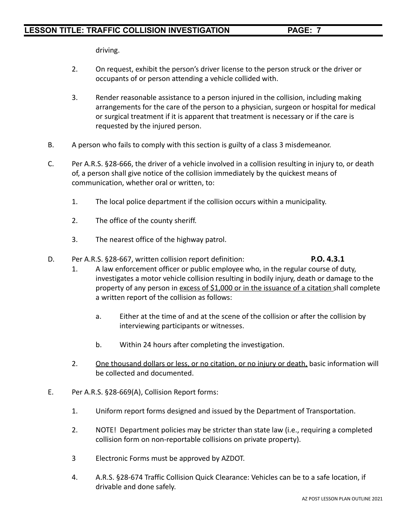driving.

- 2. On request, exhibit the person's driver license to the person struck or the driver or occupants of or person attending a vehicle collided with.
- 3. Render reasonable assistance to a person injured in the collision, including making arrangements for the care of the person to a physician, surgeon or hospital for medical or surgical treatment if it is apparent that treatment is necessary or if the care is requested by the injured person.
- B. A person who fails to comply with this section is guilty of a class 3 misdemeanor.
- C. Per A.R.S. §28-666, the driver of a vehicle involved in a collision resulting in injury to, or death of, a person shall give notice of the collision immediately by the quickest means of communication, whether oral or written, to:
	- 1. The local police department if the collision occurs within a municipality.
	- 2. The office of the county sheriff.
	- 3. The nearest office of the highway patrol.
- D. Per A.R.S. §28-667, written collision report definition: **P.O. 4.3.1**

### 1. A law enforcement officer or public employee who, in the regular course of duty, investigates a motor vehicle collision resulting in bodily injury, death or damage to the property of any person in excess of \$1,000 or in the issuance of a citation shall complete a written report of the collision as follows:

- a. Either at the time of and at the scene of the collision or after the collision by interviewing participants or witnesses.
- b. Within 24 hours after completing the investigation.
- 2. One thousand dollars or less, or no citation, or no injury or death, basic information will be collected and documented.
- E. Per A.R.S. §28-669(A), Collision Report forms:
	- 1. Uniform report forms designed and issued by the Department of Transportation.
	- 2. NOTE! Department policies may be stricter than state law (i.e., requiring a completed collision form on non-reportable collisions on private property).
	- 3 Electronic Forms must be approved by AZDOT.
	- 4. A.R.S. §28-674 Traffic Collision Quick Clearance: Vehicles can be to a safe location, if drivable and done safely.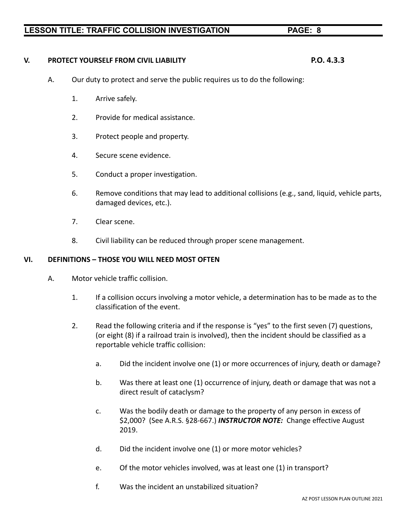**V. PROTECT YOURSELF FROM CIVIL LIABILITY P.O. 4.3.3**

- A. Our duty to protect and serve the public requires us to do the following:
	- 1. Arrive safely.
	- 2. Provide for medical assistance.
	- 3. Protect people and property.
	- 4. Secure scene evidence.
	- 5. Conduct a proper investigation.
	- 6. Remove conditions that may lead to additional collisions (e.g., sand, liquid, vehicle parts, damaged devices, etc.).
	- 7. Clear scene.
	- 8. Civil liability can be reduced through proper scene management.

#### **VI. DEFINITIONS – THOSE YOU WILL NEED MOST OFTEN**

- A. Motor vehicle traffic collision.
	- 1. If a collision occurs involving a motor vehicle, a determination has to be made as to the classification of the event.
	- 2. Read the following criteria and if the response is "yes" to the first seven (7) questions, (or eight (8) if a railroad train is involved), then the incident should be classified as a reportable vehicle traffic collision:
		- a. Did the incident involve one (1) or more occurrences of injury, death or damage?
		- b. Was there at least one (1) occurrence of injury, death or damage that was not a direct result of cataclysm?
		- c. Was the bodily death or damage to the property of any person in excess of \$2,000? (See A.R.S. §28-667.) *INSTRUCTOR NOTE:* Change effective August 2019.
		- d. Did the incident involve one (1) or more motor vehicles?
		- e. Of the motor vehicles involved, was at least one (1) in transport?
		- f. Was the incident an unstabilized situation?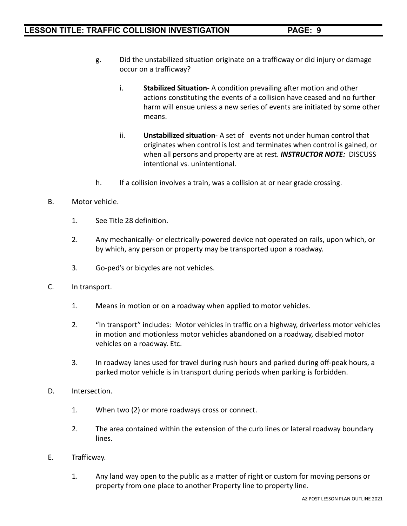- g. Did the unstabilized situation originate on a trafficway or did injury or damage occur on a trafficway?
	- i. **Stabilized Situation** A condition prevailing after motion and other actions constituting the events of a collision have ceased and no further harm will ensue unless a new series of events are initiated by some other means.
	- ii. **Unstabilized situation** A set of events not under human control that originates when control is lost and terminates when control is gained, or when all persons and property are at rest. *INSTRUCTOR NOTE:* DISCUSS intentional vs. unintentional.
- h. If a collision involves a train, was a collision at or near grade crossing.
- B. Motor vehicle.
	- 1. See Title 28 definition.
	- 2. Any mechanically- or electrically-powered device not operated on rails, upon which, or by which, any person or property may be transported upon a roadway.
	- 3. Go-ped's or bicycles are not vehicles.
- C. In transport.
	- 1. Means in motion or on a roadway when applied to motor vehicles.
	- 2. "In transport" includes: Motor vehicles in traffic on a highway, driverless motor vehicles in motion and motionless motor vehicles abandoned on a roadway, disabled motor vehicles on a roadway. Etc.
	- 3. In roadway lanes used for travel during rush hours and parked during off-peak hours, a parked motor vehicle is in transport during periods when parking is forbidden.
- D. Intersection.
	- 1. When two (2) or more roadways cross or connect.
	- 2. The area contained within the extension of the curb lines or lateral roadway boundary lines.
- E. Trafficway.
	- 1. Any land way open to the public as a matter of right or custom for moving persons or property from one place to another Property line to property line.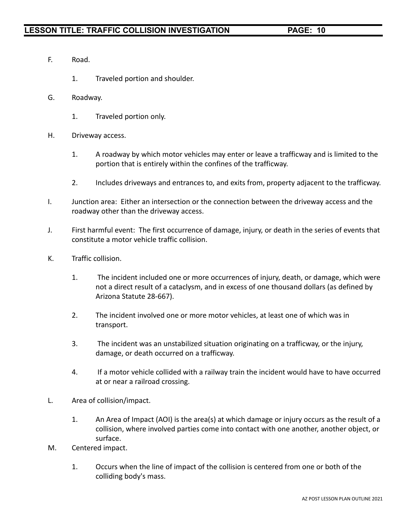- F. Road.
	- 1. Traveled portion and shoulder.
- G. Roadway.
	- 1. Traveled portion only.
- H. Driveway access.
	- 1. A roadway by which motor vehicles may enter or leave a trafficway and is limited to the portion that is entirely within the confines of the trafficway.
	- 2. Includes driveways and entrances to, and exits from, property adjacent to the trafficway.
- I. Junction area: Either an intersection or the connection between the driveway access and the roadway other than the driveway access.
- J. First harmful event: The first occurrence of damage, injury, or death in the series of events that constitute a motor vehicle traffic collision.
- K. Traffic collision.
	- 1. The incident included one or more occurrences of injury, death, or damage, which were not a direct result of a cataclysm, and in excess of one thousand dollars (as defined by Arizona Statute 28-667).
	- 2. The incident involved one or more motor vehicles, at least one of which was in transport.
	- 3. The incident was an unstabilized situation originating on a trafficway, or the injury, damage, or death occurred on a trafficway.
	- 4. If a motor vehicle collided with a railway train the incident would have to have occurred at or near a railroad crossing.
- L. Area of collision/impact.
	- 1. An Area of Impact (AOI) is the area(s) at which damage or injury occurs as the result of a collision, where involved parties come into contact with one another, another object, or surface.
- M. Centered impact.
	- 1. Occurs when the line of impact of the collision is centered from one or both of the colliding body's mass.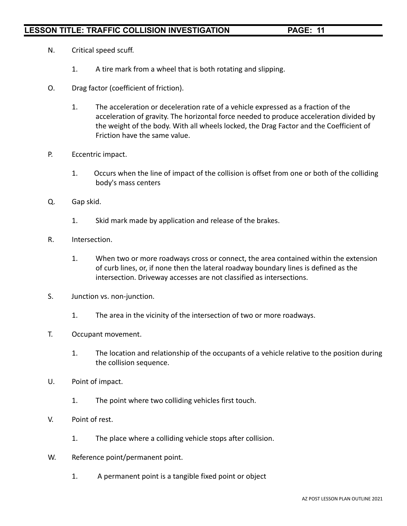- N. Critical speed scuff.
	- 1. A tire mark from a wheel that is both rotating and slipping.
- O. Drag factor (coefficient of friction).
	- 1. The acceleration or deceleration rate of a vehicle expressed as a fraction of the acceleration of gravity. The horizontal force needed to produce acceleration divided by the weight of the body. With all wheels locked, the Drag Factor and the Coefficient of Friction have the same value.
- P. Eccentric impact.
	- 1. Occurs when the line of impact of the collision is offset from one or both of the colliding body's mass centers
- Q. Gap skid.
	- 1. Skid mark made by application and release of the brakes.
- R. Intersection.
	- 1. When two or more roadways cross or connect, the area contained within the extension of curb lines, or, if none then the lateral roadway boundary lines is defined as the intersection. Driveway accesses are not classified as intersections.
- S. Junction vs. non-junction.
	- 1. The area in the vicinity of the intersection of two or more roadways.
- T. Occupant movement.
	- 1. The location and relationship of the occupants of a vehicle relative to the position during the collision sequence.
- U. Point of impact.
	- 1. The point where two colliding vehicles first touch.
- V. Point of rest.
	- 1. The place where a colliding vehicle stops after collision.
- W. Reference point/permanent point.
	- 1. A permanent point is a tangible fixed point or object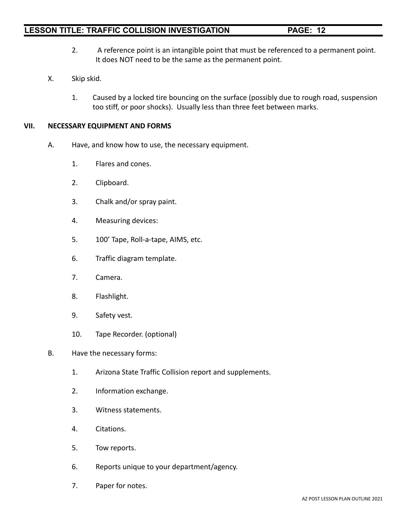#### AZ POST LESSON PLAN OUTLINE 2021

### **LESSON TITLE: TRAFFIC COLLISION INVESTIGATION PAGE: 12**

- 2. A reference point is an intangible point that must be referenced to a permanent point. It does NOT need to be the same as the permanent point.
- X. Skip skid.
	- 1. Caused by a locked tire bouncing on the surface (possibly due to rough road, suspension too stiff, or poor shocks). Usually less than three feet between marks.

#### **VII. NECESSARY EQUIPMENT AND FORMS**

- A. Have, and know how to use, the necessary equipment.
	- 1. Flares and cones.
	- 2. Clipboard.
	- 3. Chalk and/or spray paint.
	- 4. Measuring devices:
	- 5. 100' Tape, Roll-a-tape, AIMS, etc.
	- 6. Traffic diagram template.
	- 7. Camera.
	- 8. Flashlight.
	- 9. Safety vest.
	- 10. Tape Recorder. (optional)

#### B. Have the necessary forms:

- 1. Arizona State Traffic Collision report and supplements.
- 2. Information exchange.
- 3. Witness statements.
- 4. Citations.
- 5. Tow reports.
- 6. Reports unique to your department/agency.
- 7. Paper for notes.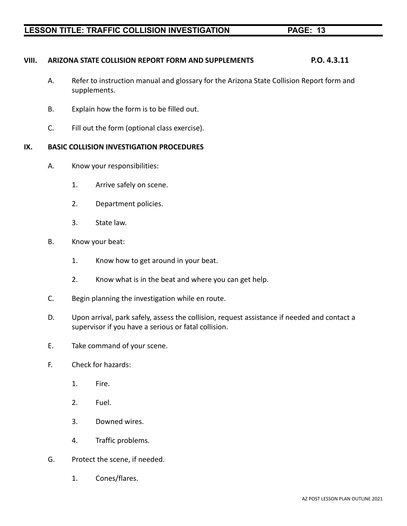### **VIII. ARIZONA STATE COLLISION REPORT FORM AND SUPPLEMENTS P.O. 4.3.11**

- A. Refer to instruction manual and glossary for the Arizona State Collision Report form and supplements.
- B. Explain how the form is to be filled out.
- C. Fill out the form (optional class exercise).

#### **IX. BASIC COLLISION INVESTIGATION PROCEDURES**

- A. Know your responsibilities:
	- 1. Arrive safely on scene.
	- 2. Department policies.
	- 3. State law.
- B. Know your beat:
	- 1. Know how to get around in your beat.
	- 2. Know what is in the beat and where you can get help.
- C. Begin planning the investigation while en route.
- D. Upon arrival, park safely, assess the collision, request assistance if needed and contact a supervisor if you have a serious or fatal collision.
- E. Take command of your scene.
- F. Check for hazards:
	- 1. Fire.
	- 2. Fuel.
	- 3. Downed wires.
	- 4. Traffic problems.
- G. Protect the scene, if needed.
	- 1. Cones/flares.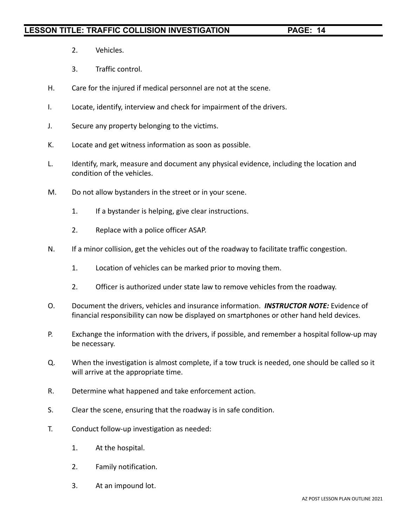- 2. Vehicles.
- 3. Traffic control.
- H. Care for the injured if medical personnel are not at the scene.
- I. Locate, identify, interview and check for impairment of the drivers.
- J. Secure any property belonging to the victims.
- K. Locate and get witness information as soon as possible.
- L. Identify, mark, measure and document any physical evidence, including the location and condition of the vehicles.
- M. Do not allow bystanders in the street or in your scene.
	- 1. If a bystander is helping, give clear instructions.
	- 2. Replace with a police officer ASAP.
- N. If a minor collision, get the vehicles out of the roadway to facilitate traffic congestion.
	- 1. Location of vehicles can be marked prior to moving them.
	- 2. Officer is authorized under state law to remove vehicles from the roadway.
- O. Document the drivers, vehicles and insurance information. *INSTRUCTOR NOTE:* Evidence of financial responsibility can now be displayed on smartphones or other hand held devices.
- P. Exchange the information with the drivers, if possible, and remember a hospital follow-up may be necessary.
- Q. When the investigation is almost complete, if a tow truck is needed, one should be called so it will arrive at the appropriate time.
- R. Determine what happened and take enforcement action.
- S. Clear the scene, ensuring that the roadway is in safe condition.
- T. Conduct follow-up investigation as needed:
	- 1. At the hospital.
	- 2. Family notification.
	- 3. At an impound lot.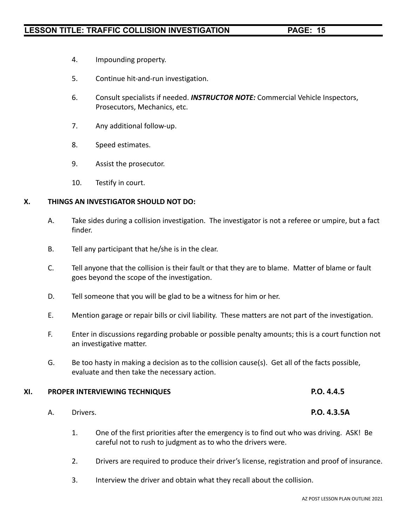- 4. Impounding property.
- 5. Continue hit-and-run investigation.
- 6. Consult specialists if needed. *INSTRUCTOR NOTE:* Commercial Vehicle Inspectors, Prosecutors, Mechanics, etc.
- 7. Any additional follow-up.
- 8. Speed estimates.
- 9. Assist the prosecutor.
- 10. Testify in court.

#### **X. THINGS AN INVESTIGATOR SHOULD NOT DO:**

- A. Take sides during a collision investigation. The investigator is not a referee or umpire, but a fact finder.
- B. Tell any participant that he/she is in the clear.
- C. Tell anyone that the collision is their fault or that they are to blame. Matter of blame or fault goes beyond the scope of the investigation.
- D. Tell someone that you will be glad to be a witness for him or her.
- E. Mention garage or repair bills or civil liability. These matters are not part of the investigation.
- F. Enter in discussions regarding probable or possible penalty amounts; this is a court function not an investigative matter.
- G. Be too hasty in making a decision as to the collision cause(s). Get all of the facts possible, evaluate and then take the necessary action.

#### **XI. PROPER INTERVIEWING TECHNIQUES P.O. 4.4.5**

- A. Drivers. **P.O. 4.3.5A**
	- 1. One of the first priorities after the emergency is to find out who was driving. ASK! Be careful not to rush to judgment as to who the drivers were.
	- 2. Drivers are required to produce their driver's license, registration and proof of insurance.
	- 3. Interview the driver and obtain what they recall about the collision.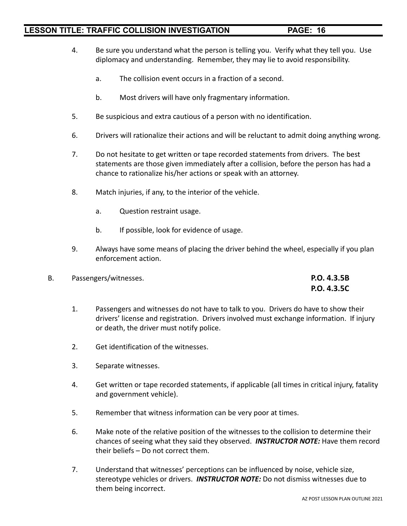- 4. Be sure you understand what the person is telling you. Verify what they tell you. Use diplomacy and understanding. Remember, they may lie to avoid responsibility.
	- a. The collision event occurs in a fraction of a second.
	- b. Most drivers will have only fragmentary information.
- 5. Be suspicious and extra cautious of a person with no identification.
- 6. Drivers will rationalize their actions and will be reluctant to admit doing anything wrong.
- 7. Do not hesitate to get written or tape recorded statements from drivers. The best statements are those given immediately after a collision, before the person has had a chance to rationalize his/her actions or speak with an attorney.
- 8. Match injuries, if any, to the interior of the vehicle.
	- a. Question restraint usage.
	- b. If possible, look for evidence of usage.
- 9. Always have some means of placing the driver behind the wheel, especially if you plan enforcement action.
- B. Passengers/witnesses. **P.O. 4.3.5B P.O. 4.3.5C**
	- 1. Passengers and witnesses do not have to talk to you. Drivers do have to show their drivers' license and registration. Drivers involved must exchange information. If injury or death, the driver must notify police.
	- 2. Get identification of the witnesses.
	- 3. Separate witnesses.
	- 4. Get written or tape recorded statements, if applicable (all times in critical injury, fatality and government vehicle).
	- 5. Remember that witness information can be very poor at times.
	- 6. Make note of the relative position of the witnesses to the collision to determine their chances of seeing what they said they observed. *INSTRUCTOR NOTE:* Have them record their beliefs – Do not correct them.
	- 7. Understand that witnesses' perceptions can be influenced by noise, vehicle size, stereotype vehicles or drivers. *INSTRUCTOR NOTE:* Do not dismiss witnesses due to them being incorrect.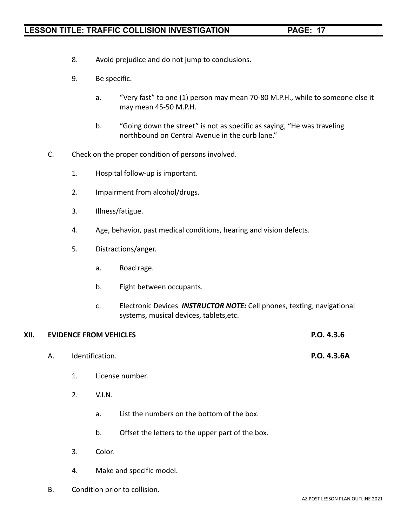- 8. Avoid prejudice and do not jump to conclusions.
- 9. Be specific.
	- a. "Very fast" to one (1) person may mean 70-80 M.P.H., while to someone else it may mean 45-50 M.P.H.
	- b. "Going down the street" is not as specific as saying, "He was traveling northbound on Central Avenue in the curb lane."
- C. Check on the proper condition of persons involved.
	- 1. Hospital follow-up is important.
	- 2. Impairment from alcohol/drugs.
	- 3. Illness/fatigue.
	- 4. Age, behavior, past medical conditions, hearing and vision defects.
	- 5. Distractions/anger.
		- a. Road rage.
		- b. Fight between occupants.
		- c. Electronic Devices *INSTRUCTOR NOTE:* Cell phones, texting, navigational systems, musical devices, tablets,etc.

| XII. |    | <b>EVIDENCE FROM VEHICLES</b> | P.O. 4.3.6      |             |
|------|----|-------------------------------|-----------------|-------------|
|      | А. |                               | Identification. | P.O. 4.3.6A |
|      |    | 1.                            | License number. |             |
|      |    | 2.                            | V.I.N.          |             |
|      |    |                               |                 |             |

- a. List the numbers on the bottom of the box.
- b. Offset the letters to the upper part of the box.
- 3. Color.
- 4. Make and specific model.
- B. Condition prior to collision.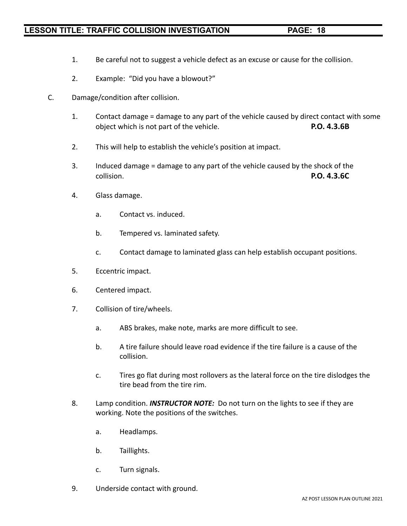- 1. Be careful not to suggest a vehicle defect as an excuse or cause for the collision.
- 2. Example: "Did you have a blowout?"
- C. Damage/condition after collision.
	- 1. Contact damage = damage to any part of the vehicle caused by direct contact with some object which is not part of the vehicle. **P.O. 4.3.6B**
	- 2. This will help to establish the vehicle's position at impact.
	- 3. Induced damage = damage to any part of the vehicle caused by the shock of the collision. **P.O. 4.3.6C**
	- 4. Glass damage.
		- a. Contact vs. induced.
		- b. Tempered vs. laminated safety.
		- c. Contact damage to laminated glass can help establish occupant positions.
	- 5. Eccentric impact.
	- 6. Centered impact.
	- 7. Collision of tire/wheels.
		- a. ABS brakes, make note, marks are more difficult to see.
		- b. A tire failure should leave road evidence if the tire failure is a cause of the collision.
		- c. Tires go flat during most rollovers as the lateral force on the tire dislodges the tire bead from the tire rim.
	- 8. Lamp condition. *INSTRUCTOR NOTE:* Do not turn on the lights to see if they are working. Note the positions of the switches.
		- a. Headlamps.
		- b. Taillights.
		- c. Turn signals.
	- 9. Underside contact with ground.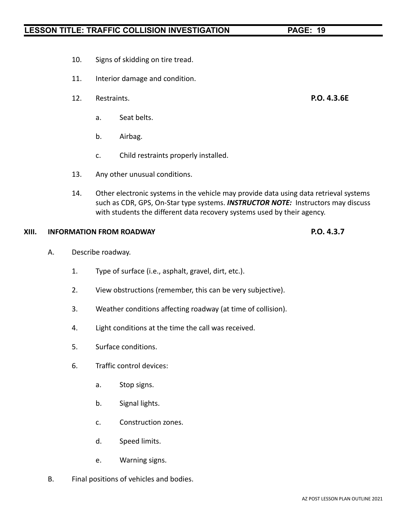- 10. Signs of skidding on tire tread.
- 11. Interior damage and condition.
- 12. Restraints. **P.O. 4.3.6E**
	- a. Seat belts.
	- b. Airbag.
	- c. Child restraints properly installed.
- 13. Any other unusual conditions.
- 14. Other electronic systems in the vehicle may provide data using data retrieval systems such as CDR, GPS, On-Star type systems. *INSTRUCTOR NOTE:* Instructors may discuss with students the different data recovery systems used by their agency.

#### **XIII. INFORMATION FROM ROADWAY P.O. 4.3.7**

- A. Describe roadway.
	- 1. Type of surface (i.e., asphalt, gravel, dirt, etc.).
	- 2. View obstructions (remember, this can be very subjective).
	- 3. Weather conditions affecting roadway (at time of collision).
	- 4. Light conditions at the time the call was received.
	- 5. Surface conditions.
	- 6. Traffic control devices:
		- a. Stop signs.
		- b. Signal lights.
		- c. Construction zones.
		- d. Speed limits.
		- e. Warning signs.
- B. Final positions of vehicles and bodies.

AZ POST LESSON PLAN OUTLINE 2021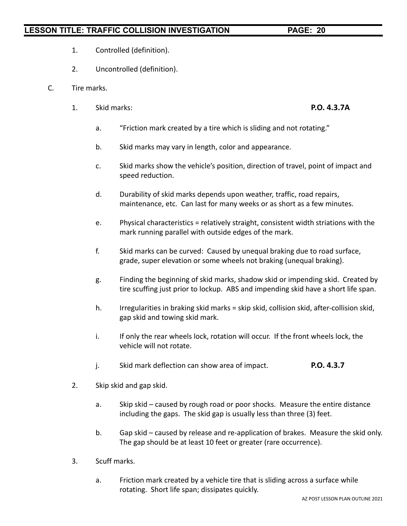- 1. Controlled (definition).
- 2. Uncontrolled (definition).
- C. Tire marks.
	- 1. Skid marks: **P.O. 4.3.7A**

- a. "Friction mark created by a tire which is sliding and not rotating."
- b. Skid marks may vary in length, color and appearance.
- c. Skid marks show the vehicle's position, direction of travel, point of impact and speed reduction.
- d. Durability of skid marks depends upon weather, traffic, road repairs, maintenance, etc. Can last for many weeks or as short as a few minutes.
- e. Physical characteristics = relatively straight, consistent width striations with the mark running parallel with outside edges of the mark.
- f. Skid marks can be curved: Caused by unequal braking due to road surface, grade, super elevation or some wheels not braking (unequal braking).
- g. Finding the beginning of skid marks, shadow skid or impending skid. Created by tire scuffing just prior to lockup. ABS and impending skid have a short life span.
- h. Irregularities in braking skid marks = skip skid, collision skid, after-collision skid, gap skid and towing skid mark.
- i. If only the rear wheels lock, rotation will occur. If the front wheels lock, the vehicle will not rotate.
- j. Skid mark deflection can show area of impact. **P.O. 4.3.7**
- 2. Skip skid and gap skid.
	- a. Skip skid caused by rough road or poor shocks. Measure the entire distance including the gaps. The skid gap is usually less than three (3) feet.
	- b. Gap skid caused by release and re-application of brakes. Measure the skid only. The gap should be at least 10 feet or greater (rare occurrence).
- 3. Scuff marks.
	- a. Friction mark created by a vehicle tire that is sliding across a surface while rotating. Short life span; dissipates quickly.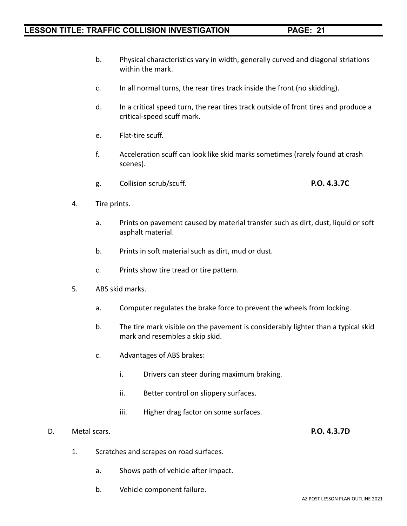- b. Physical characteristics vary in width, generally curved and diagonal striations within the mark.
- c. In all normal turns, the rear tires track inside the front (no skidding).
- d. In a critical speed turn, the rear tires track outside of front tires and produce a critical-speed scuff mark.
- e. Flat-tire scuff.
- f. Acceleration scuff can look like skid marks sometimes (rarely found at crash scenes).
- g. Collision scrub/scuff. **P.O. 4.3.7C**
- 4. Tire prints.
	- a. Prints on pavement caused by material transfer such as dirt, dust, liquid or soft asphalt material.
	- b. Prints in soft material such as dirt, mud or dust.
	- c. Prints show tire tread or tire pattern.
- 5. ABS skid marks.
	- a. Computer regulates the brake force to prevent the wheels from locking.
	- b. The tire mark visible on the pavement is considerably lighter than a typical skid mark and resembles a skip skid.
	- c. Advantages of ABS brakes:
		- i. Drivers can steer during maximum braking.
		- ii. Better control on slippery surfaces.
		- iii. Higher drag factor on some surfaces.

#### D. Metal scars. **P.O. 4.3.7D**

- 1. Scratches and scrapes on road surfaces.
	- a. Shows path of vehicle after impact.
	- b. Vehicle component failure.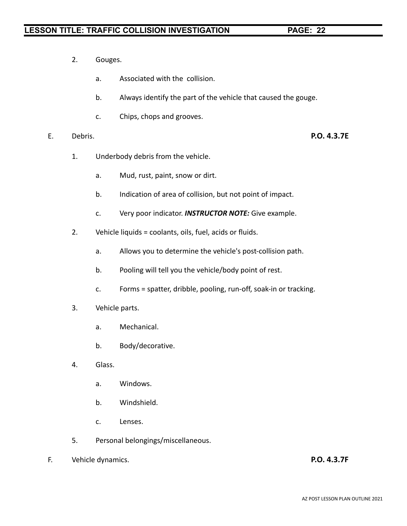- 2. Gouges.
	- a. Associated with the collision.
	- b. Always identify the part of the vehicle that caused the gouge.
	- c. Chips, chops and grooves.
- E. Debris. **P.O. 4.3.7E**

- 1. Underbody debris from the vehicle.
	- a. Mud, rust, paint, snow or dirt.
	- b. Indication of area of collision, but not point of impact.
	- c. Very poor indicator. *INSTRUCTOR NOTE:* Give example.
- 2. Vehicle liquids = coolants, oils, fuel, acids or fluids.
	- a. Allows you to determine the vehicle's post-collision path.
	- b. Pooling will tell you the vehicle/body point of rest.
	- c. Forms = spatter, dribble, pooling, run-off, soak-in or tracking.
- 3. Vehicle parts.
	- a. Mechanical.
	- b. Body/decorative.
- 4. Glass.
	- a. Windows.
	- b. Windshield.
	- c. Lenses.
- 5. Personal belongings/miscellaneous.
- F. Vehicle dynamics. **P.O. 4.3.7F**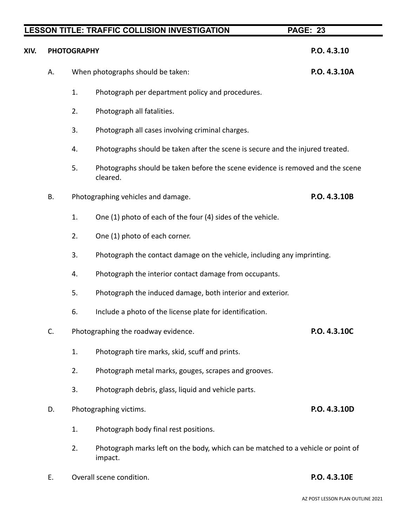| XIV. | <b>PHOTOGRAPHY</b> | P.O. 4.3.10                        |                                                                                             |              |
|------|--------------------|------------------------------------|---------------------------------------------------------------------------------------------|--------------|
|      | А.                 | When photographs should be taken:  | P.O. 4.3.10A                                                                                |              |
|      |                    | 1.                                 | Photograph per department policy and procedures.                                            |              |
|      |                    | 2.                                 | Photograph all fatalities.                                                                  |              |
|      |                    | 3.                                 | Photograph all cases involving criminal charges.                                            |              |
|      |                    | 4.                                 | Photographs should be taken after the scene is secure and the injured treated.              |              |
|      |                    | 5.                                 | Photographs should be taken before the scene evidence is removed and the scene<br>cleared.  |              |
|      | <b>B.</b>          | Photographing vehicles and damage. |                                                                                             | P.O. 4.3.10B |
|      |                    | 1.                                 | One (1) photo of each of the four (4) sides of the vehicle.                                 |              |
|      |                    | 2.                                 | One (1) photo of each corner.                                                               |              |
|      |                    | 3.                                 | Photograph the contact damage on the vehicle, including any imprinting.                     |              |
|      |                    | 4.                                 | Photograph the interior contact damage from occupants.                                      |              |
|      |                    | 5.                                 | Photograph the induced damage, both interior and exterior.                                  |              |
|      |                    | 6.                                 | Include a photo of the license plate for identification.                                    |              |
|      | C.                 |                                    | Photographing the roadway evidence.                                                         | P.O. 4.3.10C |
|      |                    | 1.                                 | Photograph tire marks, skid, scuff and prints.                                              |              |
|      |                    | 2.                                 | Photograph metal marks, gouges, scrapes and grooves.                                        |              |
|      |                    | 3.                                 | Photograph debris, glass, liquid and vehicle parts.                                         |              |
|      | D.                 |                                    | Photographing victims.                                                                      | P.O. 4.3.10D |
|      |                    | 1.                                 | Photograph body final rest positions.                                                       |              |
|      |                    | 2.                                 | Photograph marks left on the body, which can be matched to a vehicle or point of<br>impact. |              |

E. Overall scene condition. **P.O. 4.3.10E**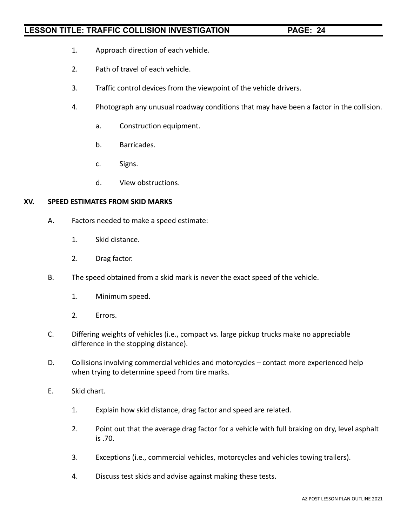- 1. Approach direction of each vehicle.
- 2. Path of travel of each vehicle.
- 3. Traffic control devices from the viewpoint of the vehicle drivers.
- 4. Photograph any unusual roadway conditions that may have been a factor in the collision.
	- a. Construction equipment.
	- b. Barricades.
	- c. Signs.
	- d. View obstructions.

#### **XV. SPEED ESTIMATES FROM SKID MARKS**

- A. Factors needed to make a speed estimate:
	- 1. Skid distance.
	- 2. Drag factor.
- B. The speed obtained from a skid mark is never the exact speed of the vehicle.
	- 1. Minimum speed.
	- 2. Errors.
- C. Differing weights of vehicles (i.e., compact vs. large pickup trucks make no appreciable difference in the stopping distance).
- D. Collisions involving commercial vehicles and motorcycles contact more experienced help when trying to determine speed from tire marks.
- E. Skid chart.
	- 1. Explain how skid distance, drag factor and speed are related.
	- 2. Point out that the average drag factor for a vehicle with full braking on dry, level asphalt is .70.
	- 3. Exceptions (i.e., commercial vehicles, motorcycles and vehicles towing trailers).
	- 4. Discuss test skids and advise against making these tests.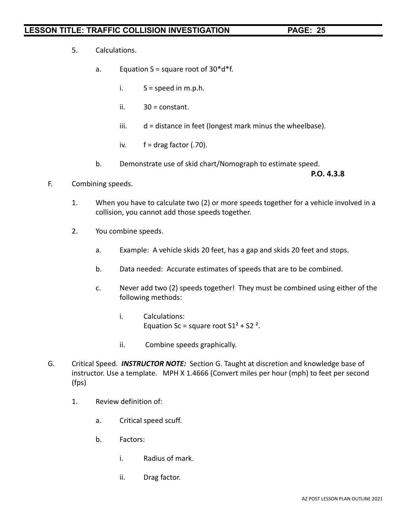- 5. Calculations.
	- a. Equation  $S =$  square root of  $30^*d^*f$ .
		- i.  $S = speed in m.p.h.$
		- ii. 30 = constant.
		- iii. d = distance in feet (longest mark minus the wheelbase).
		- iv.  $f = \text{drag factor } (.70)$ .
	- b. Demonstrate use of skid chart/Nomograph to estimate speed.

**P.O. 4.3.8**

- F. Combining speeds.
	- 1. When you have to calculate two (2) or more speeds together for a vehicle involved in a collision, you cannot add those speeds together.
	- 2. You combine speeds.
		- a. Example: A vehicle skids 20 feet, has a gap and skids 20 feet and stops.
		- b. Data needed: Accurate estimates of speeds that are to be combined.
		- c. Never add two (2) speeds together! They must be combined using either of the following methods:
			- i. Calculations: Equation Sc = square root  $S1^2 + S2^2$ .
			- ii. Combine speeds graphically.
- G. Critical Speed. *INSTRUCTOR NOTE:* Section G. Taught at discretion and knowledge base of instructor. Use a template. MPH X 1.4666 (Convert miles per hour (mph) to feet per second (fps)
	- 1. Review definition of:
		- a. Critical speed scuff.
		- b. Factors:
			- i. Radius of mark.
			- ii. Drag factor.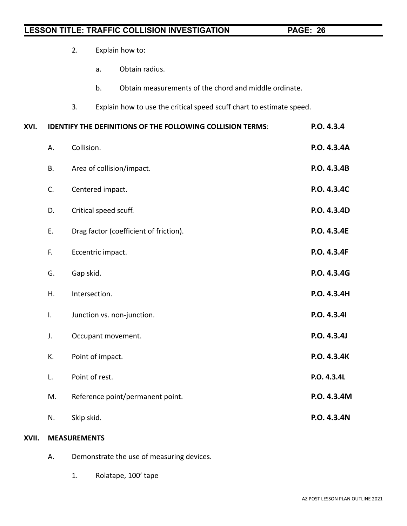|      |           | 2.               |                       | Explain how to:                                                      |             |
|------|-----------|------------------|-----------------------|----------------------------------------------------------------------|-------------|
|      |           |                  | a.                    | Obtain radius.                                                       |             |
|      |           |                  | b.                    | Obtain measurements of the chord and middle ordinate.                |             |
|      |           | 3.               |                       | Explain how to use the critical speed scuff chart to estimate speed. |             |
| XVI. |           |                  |                       | <b>IDENTIFY THE DEFINITIONS OF THE FOLLOWING COLLISION TERMS:</b>    | P.O. 4.3.4  |
|      | Α.        | Collision.       |                       |                                                                      | P.O. 4.3.4A |
|      | <b>B.</b> |                  |                       | Area of collision/impact.                                            | P.O. 4.3.4B |
|      | C.        | Centered impact. |                       |                                                                      | P.O. 4.3.4C |
|      | D.        |                  | Critical speed scuff. |                                                                      | P.O. 4.3.4D |
|      | Ε.        |                  |                       | Drag factor (coefficient of friction).                               | P.O. 4.3.4E |
|      | F.        |                  | Eccentric impact.     |                                                                      | P.O. 4.3.4F |
|      | G.        | Gap skid.        |                       |                                                                      | P.O. 4.3.4G |
|      | Η.        |                  | Intersection.         |                                                                      | P.O. 4.3.4H |
|      | Ι.        |                  |                       | Junction vs. non-junction.                                           | P.O. 4.3.41 |
|      | J.        |                  |                       | Occupant movement.                                                   | P.O. 4.3.4J |
|      | К.        |                  | Point of impact.      |                                                                      | P.O. 4.3.4K |
|      | L.        |                  | Point of rest.        |                                                                      | P.O. 4.3.4L |
|      | M.        |                  |                       | Reference point/permanent point.                                     | P.O. 4.3.4M |
|      | N.        | Skip skid.       |                       |                                                                      | P.O. 4.3.4N |
|      |           |                  |                       |                                                                      |             |

#### **XVII. MEASUREMENTS**

- A. Demonstrate the use of measuring devices.
	- 1. Rolatape, 100' tape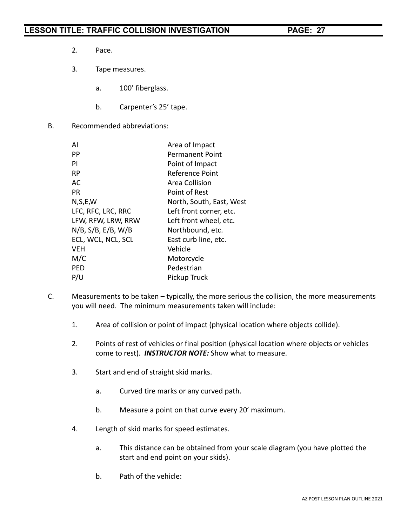- 2. Pace.
- 3. Tape measures.
	- a. 100' fiberglass.
	- b. Carpenter's 25' tape.
- B. Recommended abbreviations:

| AI                    | Area of Impact           |
|-----------------------|--------------------------|
| PP                    | Permanent Point          |
| PI                    | Point of Impact          |
| <b>RP</b>             | Reference Point          |
| AC                    | Area Collision           |
| PR.                   | Point of Rest            |
| N, S, E, W            | North, South, East, West |
| LFC, RFC, LRC, RRC    | Left front corner, etc.  |
| LFW, RFW, LRW, RRW    | Left front wheel, etc.   |
| $N/B$ , S/B, E/B, W/B | Northbound, etc.         |
| ECL, WCL, NCL, SCL    | East curb line, etc.     |
| <b>VEH</b>            | Vehicle                  |
| M/C                   | Motorcycle               |
| <b>PED</b>            | Pedestrian               |
| P/U                   | Pickup Truck             |

- C. Measurements to be taken typically, the more serious the collision, the more measurements you will need. The minimum measurements taken will include:
	- 1. Area of collision or point of impact (physical location where objects collide).
	- 2. Points of rest of vehicles or final position (physical location where objects or vehicles come to rest). *INSTRUCTOR NOTE:* Show what to measure.
	- 3. Start and end of straight skid marks.
		- a. Curved tire marks or any curved path.
		- b. Measure a point on that curve every 20' maximum.
	- 4. Length of skid marks for speed estimates.
		- a. This distance can be obtained from your scale diagram (you have plotted the start and end point on your skids).
		- b. Path of the vehicle: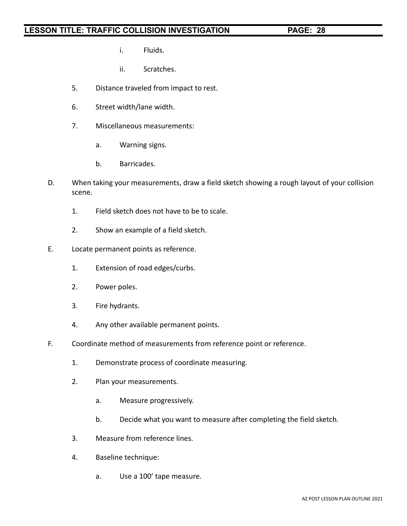- i. Fluids.
- ii. Scratches.
- 5. Distance traveled from impact to rest.
- 6. Street width/lane width.
- 7. Miscellaneous measurements:
	- a. Warning signs.
	- b. Barricades.
- D. When taking your measurements, draw a field sketch showing a rough layout of your collision scene.
	- 1. Field sketch does not have to be to scale.
	- 2. Show an example of a field sketch.
- E. Locate permanent points as reference.
	- 1. Extension of road edges/curbs.
	- 2. Power poles.
	- 3. Fire hydrants.
	- 4. Any other available permanent points.
- F. Coordinate method of measurements from reference point or reference.
	- 1. Demonstrate process of coordinate measuring.
	- 2. Plan your measurements.
		- a. Measure progressively.
		- b. Decide what you want to measure after completing the field sketch.
	- 3. Measure from reference lines.
	- 4. Baseline technique:
		- a. Use a 100' tape measure.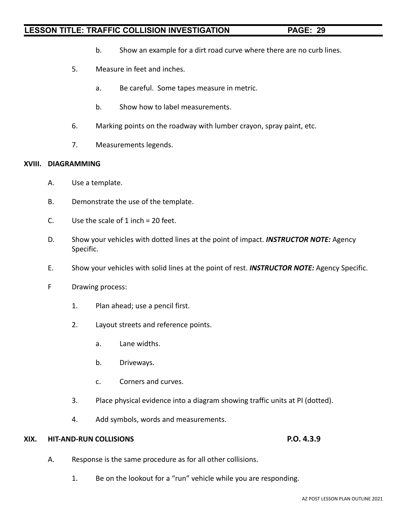- b. Show an example for a dirt road curve where there are no curb lines.
- 5. Measure in feet and inches.
	- a. Be careful. Some tapes measure in metric.
	- b. Show how to label measurements.
- 6. Marking points on the roadway with lumber crayon, spray paint, etc.
- 7. Measurements legends.

#### **XVIII. DIAGRAMMING**

- A. Use a template.
- B. Demonstrate the use of the template.
- C. Use the scale of  $1$  inch = 20 feet.
- D. Show your vehicles with dotted lines at the point of impact. *INSTRUCTOR NOTE:* Agency Specific.
- E. Show your vehicles with solid lines at the point of rest. *INSTRUCTOR NOTE:* Agency Specific.
- F Drawing process:
	- 1. Plan ahead; use a pencil first.
	- 2. Layout streets and reference points.
		- a. Lane widths.
		- b. Driveways.
		- c. Corners and curves.
	- 3. Place physical evidence into a diagram showing traffic units at PI (dotted).
	- 4. Add symbols, words and measurements.

#### **XIX. HIT-AND-RUN COLLISIONS P.O. 4.3.9**

- A. Response is the same procedure as for all other collisions.
	- 1. Be on the lookout for a "run" vehicle while you are responding.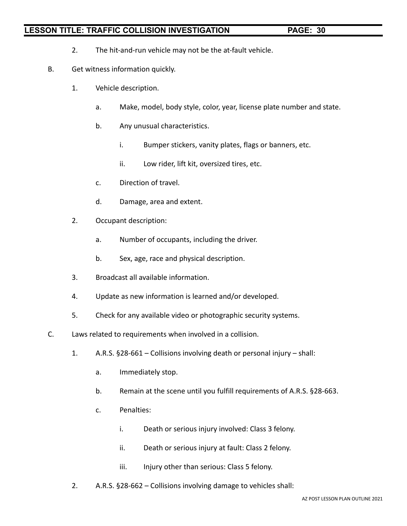- 2. The hit-and-run vehicle may not be the at-fault vehicle.
- B. Get witness information quickly.
	- 1. Vehicle description.
		- a. Make, model, body style, color, year, license plate number and state.
		- b. Any unusual characteristics.
			- i. Bumper stickers, vanity plates, flags or banners, etc.
			- ii. Low rider, lift kit, oversized tires, etc.
		- c. Direction of travel.
		- d. Damage, area and extent.
	- 2. Occupant description:
		- a. Number of occupants, including the driver.
		- b. Sex, age, race and physical description.
	- 3. Broadcast all available information.
	- 4. Update as new information is learned and/or developed.
	- 5. Check for any available video or photographic security systems.
- C. Laws related to requirements when involved in a collision.
	- 1. A.R.S. §28-661 Collisions involving death or personal injury shall:
		- a. Immediately stop.
		- b. Remain at the scene until you fulfill requirements of A.R.S. §28-663.
		- c. Penalties:
			- i. Death or serious injury involved: Class 3 felony.
			- ii. Death or serious injury at fault: Class 2 felony.
			- iii. Injury other than serious: Class 5 felony.
	- 2. A.R.S. §28-662 Collisions involving damage to vehicles shall: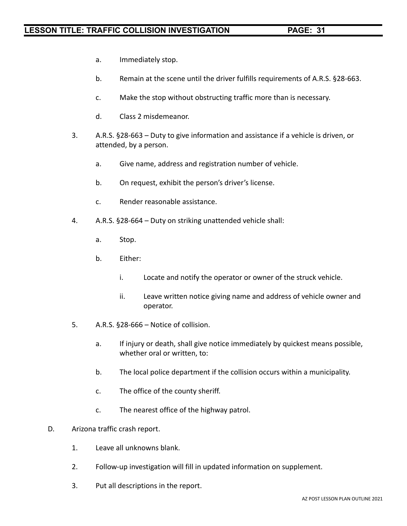- a. Immediately stop.
- b. Remain at the scene until the driver fulfills requirements of A.R.S. §28-663.
- c. Make the stop without obstructing traffic more than is necessary.
- d. Class 2 misdemeanor.
- 3. A.R.S. §28-663 Duty to give information and assistance if a vehicle is driven, or attended, by a person.
	- a. Give name, address and registration number of vehicle.
	- b. On request, exhibit the person's driver's license.
	- c. Render reasonable assistance.
- 4. A.R.S. §28-664 Duty on striking unattended vehicle shall:
	- a. Stop.
	- b. Either:
		- i. Locate and notify the operator or owner of the struck vehicle.
		- ii. Leave written notice giving name and address of vehicle owner and operator.
- 5. A.R.S. §28-666 Notice of collision.
	- a. If injury or death, shall give notice immediately by quickest means possible, whether oral or written, to:
	- b. The local police department if the collision occurs within a municipality.
	- c. The office of the county sheriff.
	- c. The nearest office of the highway patrol.
- D. Arizona traffic crash report.
	- 1. Leave all unknowns blank.
	- 2. Follow-up investigation will fill in updated information on supplement.
	- 3. Put all descriptions in the report.